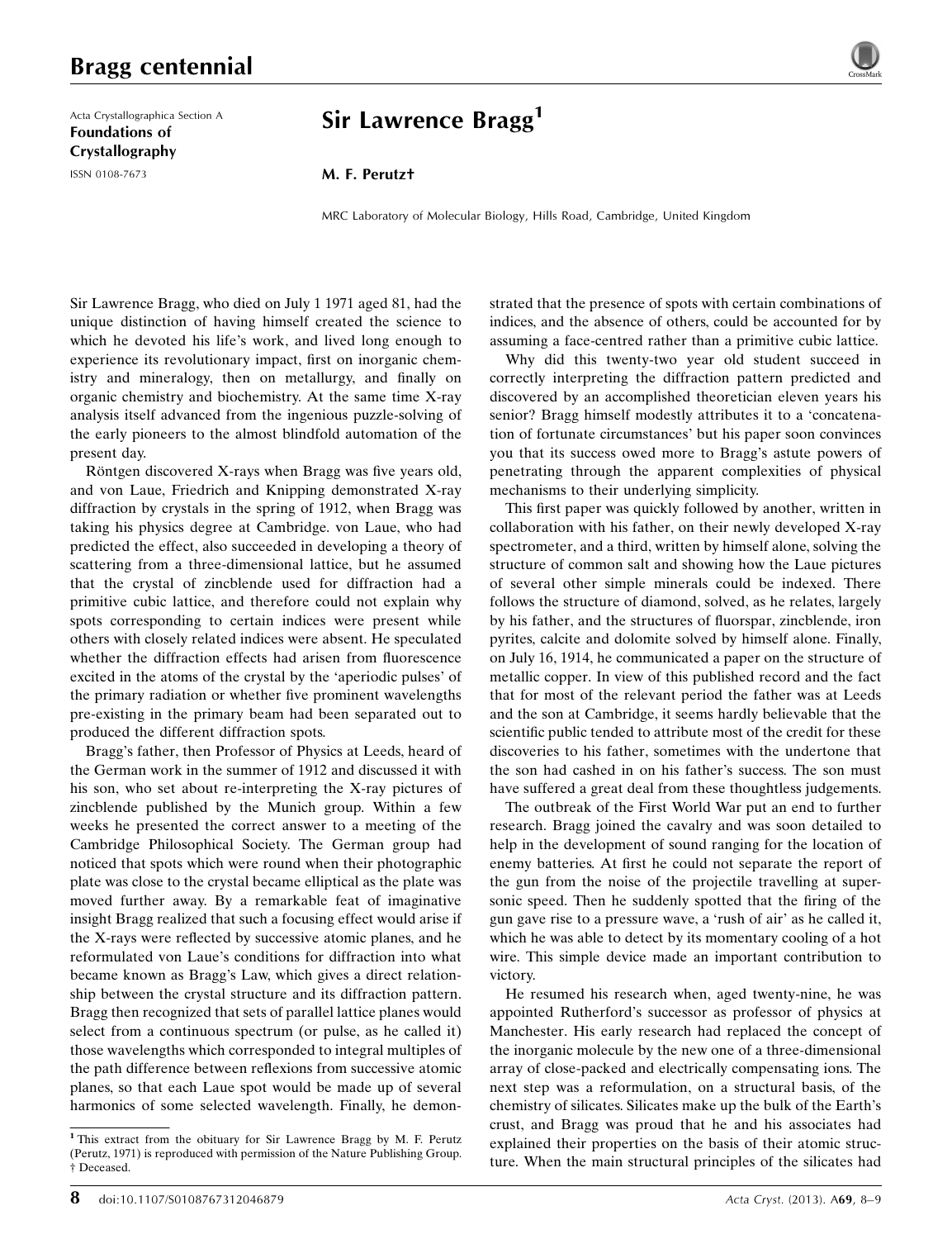Acta Crystallographica Section A Foundations of Crystallography ISSN 0108-7673

## Sir Lawrence Bragg<sup>1</sup>

## M. F. Perutz†

MRC Laboratory of Molecular Biology, Hills Road, Cambridge, United Kingdom

Sir Lawrence Bragg, who died on July 1 1971 aged 81, had the unique distinction of having himself created the science to which he devoted his life's work, and lived long enough to experience its revolutionary impact, first on inorganic chemistry and mineralogy, then on metallurgy, and finally on organic chemistry and biochemistry. At the same time X-ray analysis itself advanced from the ingenious puzzle-solving of the early pioneers to the almost blindfold automation of the present day.

Röntgen discovered X-rays when Bragg was five years old, and von Laue, Friedrich and Knipping demonstrated X-ray diffraction by crystals in the spring of 1912, when Bragg was taking his physics degree at Cambridge. von Laue, who had predicted the effect, also succeeded in developing a theory of scattering from a three-dimensional lattice, but he assumed that the crystal of zincblende used for diffraction had a primitive cubic lattice, and therefore could not explain why spots corresponding to certain indices were present while others with closely related indices were absent. He speculated whether the diffraction effects had arisen from fluorescence excited in the atoms of the crystal by the 'aperiodic pulses' of the primary radiation or whether five prominent wavelengths pre-existing in the primary beam had been separated out to produced the different diffraction spots.

Bragg's father, then Professor of Physics at Leeds, heard of the German work in the summer of 1912 and discussed it with his son, who set about re-interpreting the X-ray pictures of zincblende published by the Munich group. Within a few weeks he presented the correct answer to a meeting of the Cambridge Philosophical Society. The German group had noticed that spots which were round when their photographic plate was close to the crystal became elliptical as the plate was moved further away. By a remarkable feat of imaginative insight Bragg realized that such a focusing effect would arise if the X-rays were reflected by successive atomic planes, and he reformulated von Laue's conditions for diffraction into what became known as Bragg's Law, which gives a direct relationship between the crystal structure and its diffraction pattern. Bragg then recognized that sets of parallel lattice planes would select from a continuous spectrum (or pulse, as he called it) those wavelengths which corresponded to integral multiples of the path difference between reflexions from successive atomic planes, so that each Laue spot would be made up of several harmonics of some selected wavelength. Finally, he demon-

<sup>1</sup> This extract from the obituary for Sir Lawrence Bragg by M. F. Perutz (Perutz, 1971) is reproduced with permission of the Nature Publishing Group. † Deceased.

strated that the presence of spots with certain combinations of indices, and the absence of others, could be accounted for by assuming a face-centred rather than a primitive cubic lattice.

Why did this twenty-two year old student succeed in correctly interpreting the diffraction pattern predicted and discovered by an accomplished theoretician eleven years his senior? Bragg himself modestly attributes it to a 'concatenation of fortunate circumstances' but his paper soon convinces you that its success owed more to Bragg's astute powers of penetrating through the apparent complexities of physical mechanisms to their underlying simplicity.

This first paper was quickly followed by another, written in collaboration with his father, on their newly developed X-ray spectrometer, and a third, written by himself alone, solving the structure of common salt and showing how the Laue pictures of several other simple minerals could be indexed. There follows the structure of diamond, solved, as he relates, largely by his father, and the structures of fluorspar, zincblende, iron pyrites, calcite and dolomite solved by himself alone. Finally, on July 16, 1914, he communicated a paper on the structure of metallic copper. In view of this published record and the fact that for most of the relevant period the father was at Leeds and the son at Cambridge, it seems hardly believable that the scientific public tended to attribute most of the credit for these discoveries to his father, sometimes with the undertone that the son had cashed in on his father's success. The son must have suffered a great deal from these thoughtless judgements.

The outbreak of the First World War put an end to further research. Bragg joined the cavalry and was soon detailed to help in the development of sound ranging for the location of enemy batteries. At first he could not separate the report of the gun from the noise of the projectile travelling at supersonic speed. Then he suddenly spotted that the firing of the gun gave rise to a pressure wave, a 'rush of air' as he called it, which he was able to detect by its momentary cooling of a hot wire. This simple device made an important contribution to victory.

He resumed his research when, aged twenty-nine, he was appointed Rutherford's successor as professor of physics at Manchester. His early research had replaced the concept of the inorganic molecule by the new one of a three-dimensional array of close-packed and electrically compensating ions. The next step was a reformulation, on a structural basis, of the chemistry of silicates. Silicates make up the bulk of the Earth's crust, and Bragg was proud that he and his associates had explained their properties on the basis of their atomic structure. When the main structural principles of the silicates had